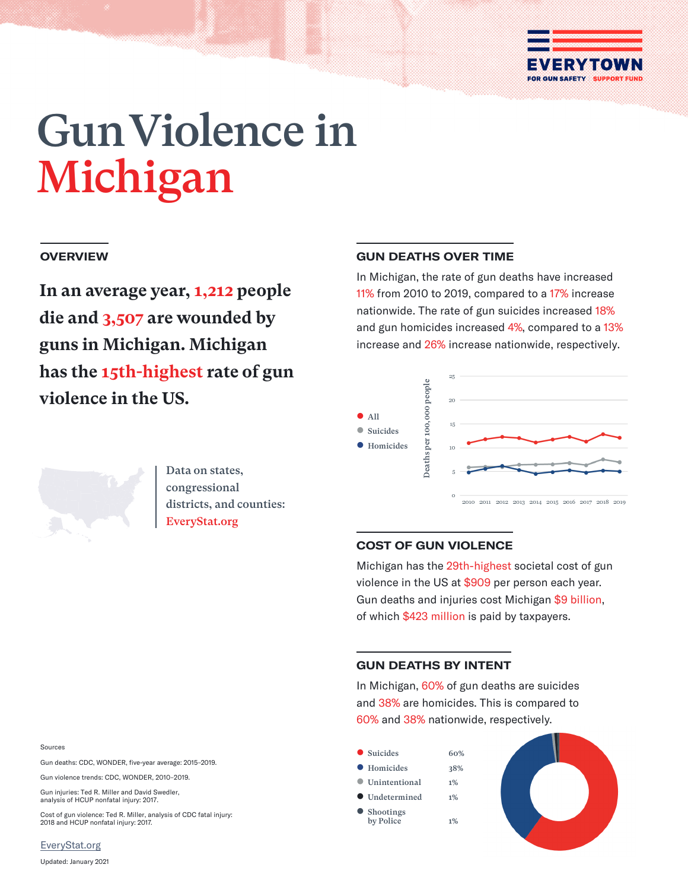

# Gun Violence in Michigan

## **OVERVIEW**

**In an average year, 1,212 people die and 3,507 are wounded by guns in Michigan. Michigan has the 15th-highest rate of gun violence in the US.**

## **GUN DEATHS OVER TIME**

In Michigan, the rate of gun deaths have increased 11% from 2010 to 2019, compared to a 17% increase nationwide. The rate of gun suicides increased 18% and gun homicides increased 4%, compared to a 13% increase and 26% increase nationwide, respectively.





Data on states, congressional districts, and counties: EveryStat.org

## **COST OF GUN VIOLENCE**

Michigan has the 29th-highest societal cost of gun violence in the US at \$909 per person each year. Gun deaths and injuries cost Michigan \$9 billion, of which \$423 million is paid by taxpayers.

## **GUN DEATHS BY INTENT**

In Michigan, 60% of gun deaths are suicides and 38% are homicides. This is compared to 60% and 38% nationwide, respectively.



## Sources

Gun deaths: CDC, WONDER, five-year average: 2015–2019.

Gun violence trends: CDC, WONDER, 2010–2019.

Gun injuries: Ted R. Miller and David Swedler, analysis of HCUP nonfatal injury: 2017.

Cost of gun violence: Ted R. Miller, analysis of CDC fatal injury: 2018 and HCUP nonfatal injury: 2017.

[EveryStat.org](https://www.everystat.org)

Updated: January 2021